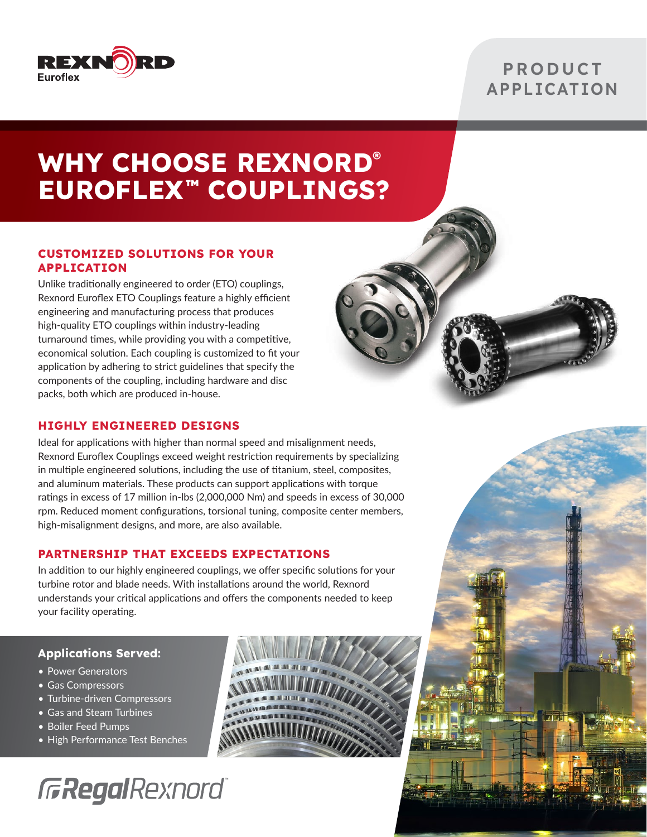

### **PRODUCT APPLICATION**

# **WHY CHOOSE REXNORD® EUROFLEX™ COUPLINGS?**

### **CUSTOMIZED SOLUTIONS FOR YOUR APPLICATION**

Unlike traditionally engineered to order (ETO) couplings, Rexnord Euroflex ETO Couplings feature a highly efficient engineering and manufacturing process that produces high-quality ETO couplings within industry-leading turnaround times, while providing you with a competitive, economical solution. Each coupling is customized to fit your application by adhering to strict guidelines that specify the components of the coupling, including hardware and disc packs, both which are produced in-house.

### **HIGHLY ENGINEERED DESIGNS**

Ideal for applications with higher than normal speed and misalignment needs, Rexnord Euroflex Couplings exceed weight restriction requirements by specializing in multiple engineered solutions, including the use of titanium, steel, composites, and aluminum materials. These products can support applications with torque ratings in excess of 17 million in-lbs (2,000,000 Nm) and speeds in excess of 30,000 rpm. Reduced moment configurations, torsional tuning, composite center members, high-misalignment designs, and more, are also available.

### **PARTNERSHIP THAT EXCEEDS EXPECTATIONS**

In addition to our highly engineered couplings, we offer specific solutions for your turbine rotor and blade needs. With installations around the world, Rexnord understands your critical applications and offers the components needed to keep your facility operating.

### **Applications Served:**

- Power Generators
- Gas Compressors
- Turbine-driven Compressors
- Gas and Steam Turbines
- Boiler Feed Pumps
- High Performance Test Benches

# **GRegalRexnord**